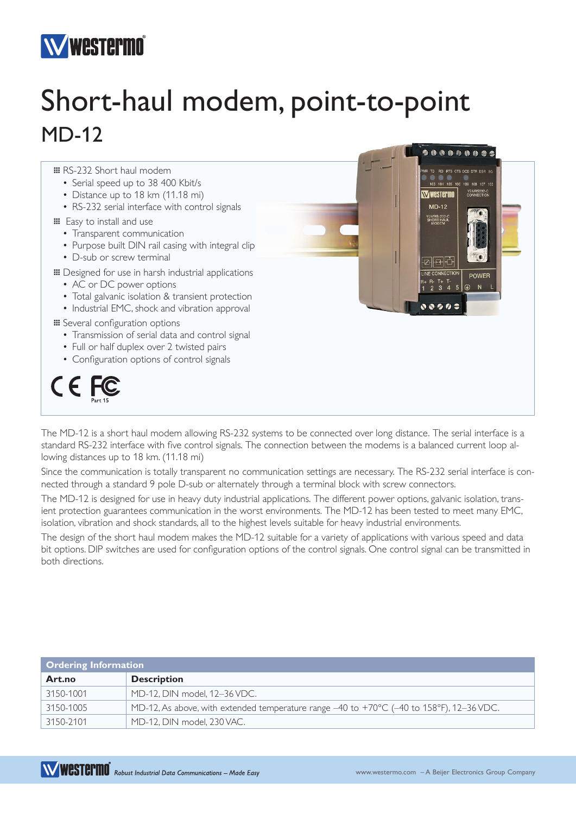## **Westermo**

## Short-haul modem, point-to-point MD-12



The MD-12 is a short haul modem allowing RS-232 systems to be connected over long distance. The serial interface is a standard RS-232 interface with five control signals. The connection between the modems is a balanced current loop allowing distances up to 18 km. (11.18 mi)

Since the communication is totally transparent no communication settings are necessary. The RS-232 serial interface is connected through a standard 9 pole D-sub or alternately through a terminal block with screw connectors.

The MD-12 is designed for use in heavy duty industrial applications. The different power options, galvanic isolation, transient protection guarantees communication in the worst environments. The MD-12 has been tested to meet many EMC, isolation, vibration and shock standards, all to the highest levels suitable for heavy industrial environments.

The design of the short haul modem makes the MD-12 suitable for a variety of applications with various speed and data bit options. DIP switches are used for configuration options of the control signals. One control signal can be transmitted in both directions.

| Ordering Information |                                                                                                                    |  |
|----------------------|--------------------------------------------------------------------------------------------------------------------|--|
| Art.no               | <b>Description</b>                                                                                                 |  |
| 3150-1001            | MD-12. DIN model. 12-36 VDC.                                                                                       |  |
| 3150-1005            | MD-12, As above, with extended temperature range $-40$ to $+70^{\circ}$ C ( $-40$ to 158 $^{\circ}$ F), 12-36 VDC. |  |
| 3150-2101            | MD-12. DIN model. 230 VAC.                                                                                         |  |